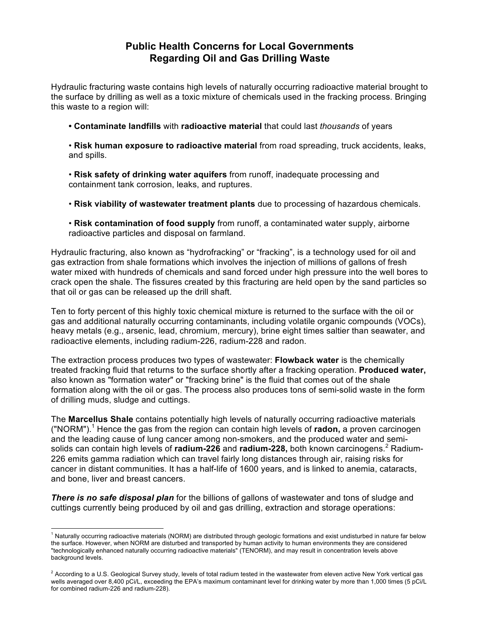## **Public Health Concerns for Local Governments Regarding Oil and Gas Drilling Waste**

Hydraulic fracturing waste contains high levels of naturally occurring radioactive material brought to the surface by drilling as well as a toxic mixture of chemicals used in the fracking process. Bringing this waste to a region will:

**• Contaminate landfills** with **radioactive material** that could last *thousands* of years

• **Risk human exposure to radioactive material** from road spreading, truck accidents, leaks, and spills.

• **Risk safety of drinking water aquifers** from runoff, inadequate processing and containment tank corrosion, leaks, and ruptures.

- **Risk viability of wastewater treatment plants** due to processing of hazardous chemicals.
- **Risk contamination of food supply** from runoff, a contaminated water supply, airborne radioactive particles and disposal on farmland.

Hydraulic fracturing, also known as "hydrofracking" or "fracking", is a technology used for oil and gas extraction from shale formations which involves the injection of millions of gallons of fresh water mixed with hundreds of chemicals and sand forced under high pressure into the well bores to crack open the shale. The fissures created by this fracturing are held open by the sand particles so that oil or gas can be released up the drill shaft.

Ten to forty percent of this highly toxic chemical mixture is returned to the surface with the oil or gas and additional naturally occurring contaminants, including volatile organic compounds (VOCs), heavy metals (e.g., arsenic, lead, chromium, mercury), brine eight times saltier than seawater, and radioactive elements, including radium-226, radium-228 and radon.

The extraction process produces two types of wastewater: **Flowback water** is the chemically treated fracking fluid that returns to the surface shortly after a fracking operation. **Produced water,**  also known as "formation water" or "fracking brine" is the fluid that comes out of the shale formation along with the oil or gas. The process also produces tons of semi-solid waste in the form of drilling muds, sludge and cuttings.

The **Marcellus Shale** contains potentially high levels of naturally occurring radioactive materials ("NORM").<sup>1</sup> Hence the gas from the region can contain high levels of **radon,** a proven carcinogen and the leading cause of lung cancer among non-smokers, and the produced water and semisolids can contain high levels of **radium-226** and **radium-228**, both known carcinogens.<sup>2</sup> Radium-226 emits gamma radiation which can travel fairly long distances through air, raising risks for cancer in distant communities. It has a half-life of 1600 years, and is linked to anemia, cataracts, and bone, liver and breast cancers.

*There is no safe disposal plan* for the billions of gallons of wastewater and tons of sludge and cuttings currently being produced by oil and gas drilling, extraction and storage operations:

 

 $1$  Naturally occurring radioactive materials (NORM) are distributed through geologic formations and exist undisturbed in nature far below the surface. However, when NORM are disturbed and transported by human activity to human environments they are considered "technologically enhanced naturally occurring radioactive materials" (TENORM), and may result in concentration levels above background levels.

 $^2$  According to a U.S. Geological Survey study, levels of total radium tested in the wastewater from eleven active New York vertical gas wells averaged over 8,400 pCi/L, exceeding the EPA's maximum contaminant level for drinking water by more than 1,000 times (5 pCi/L for combined radium-226 and radium-228).